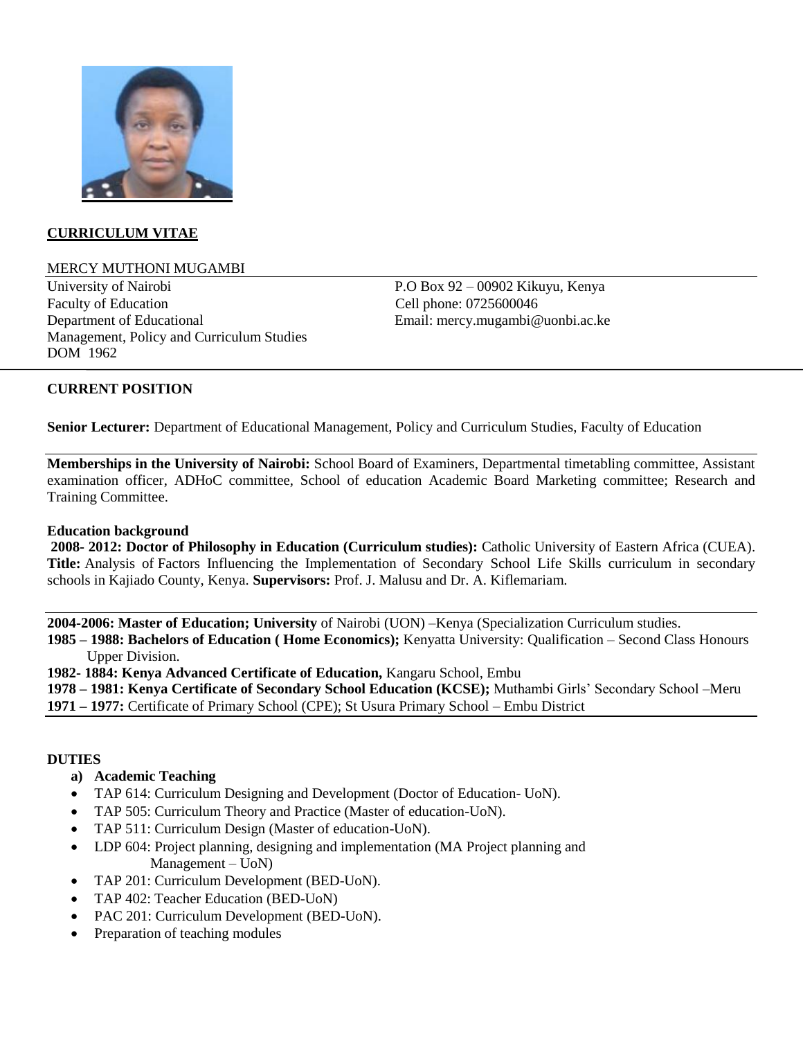

## **CURRICULUM VITAE**

#### MERCY MUTHONI MUGAMBI

University of Nairobi P.O Box 92 – 00902 Kikuyu, Kenya Faculty of Education **Cell phone: 0725600046** Department of Educational Email: mercy.mugambi@uonbi.ac.ke Management, Policy and Curriculum Studies DOM 1962

## **CURRENT POSITION**

**Senior Lecturer:** Department of Educational Management, Policy and Curriculum Studies, Faculty of Education

**Memberships in the University of Nairobi:** School Board of Examiners, Departmental timetabling committee, Assistant examination officer, ADHoC committee, School of education Academic Board Marketing committee; Research and Training Committee.

#### **Education background**

**2008- 2012: Doctor of Philosophy in Education (Curriculum studies):** Catholic University of Eastern Africa (CUEA). **Title:** Analysis of Factors Influencing the Implementation of Secondary School Life Skills curriculum in secondary schools in Kajiado County, Kenya. **Supervisors:** Prof. J. Malusu and Dr. A. Kiflemariam.

**2004-2006: Master of Education; University** of Nairobi (UON) –Kenya (Specialization Curriculum studies.

**1985 – 1988: Bachelors of Education ( Home Economics);** Kenyatta University: Qualification – Second Class Honours Upper Division.

**1982- 1884: Kenya Advanced Certificate of Education,** Kangaru School, Embu

**1978 – 1981: Kenya Certificate of Secondary School Education (KCSE);** Muthambi Girls" Secondary School –Meru

# **1971 – 1977:** Certificate of Primary School (CPE); St Usura Primary School – Embu District

## **DUTIES**

## **a) Academic Teaching**

- TAP 614: Curriculum Designing and Development (Doctor of Education- UoN).
- TAP 505: Curriculum Theory and Practice (Master of education-UoN).
- TAP 511: Curriculum Design (Master of education-UoN).
- LDP 604: Project planning, designing and implementation (MA Project planning and Management – UoN)
- TAP 201: Curriculum Development (BED-UoN).
- TAP 402: Teacher Education (BED-UoN)
- PAC 201: Curriculum Development (BED-UoN).
- Preparation of teaching modules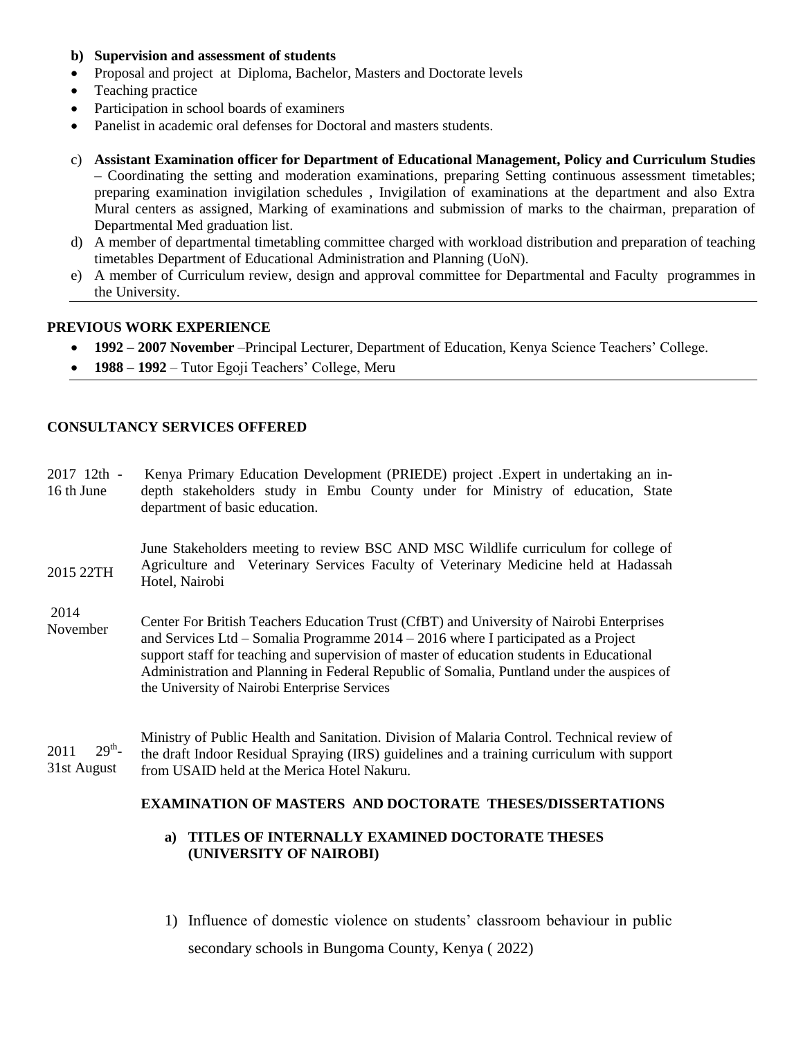#### **b) Supervision and assessment of students**

- Proposal and project at Diploma, Bachelor, Masters and Doctorate levels
- Teaching practice
- Participation in school boards of examiners
- Panelist in academic oral defenses for Doctoral and masters students.
- c) **Assistant Examination officer for Department of Educational Management, Policy and Curriculum Studies –** Coordinating the setting and moderation examinations, preparing Setting continuous assessment timetables; preparing examination invigilation schedules , Invigilation of examinations at the department and also Extra Mural centers as assigned, Marking of examinations and submission of marks to the chairman, preparation of Departmental Med graduation list.
- d) A member of departmental timetabling committee charged with workload distribution and preparation of teaching timetables Department of Educational Administration and Planning (UoN).
- e) A member of Curriculum review, design and approval committee for Departmental and Faculty programmes in the University.

## **PREVIOUS WORK EXPERIENCE**

- **1992 – 2007 November** –Principal Lecturer, Department of Education, Kenya Science Teachers" College.
- **1988 1992** Tutor Egoji Teachers' College, Meru

## **CONSULTANCY SERVICES OFFERED**

2017 12th - 16 th June Kenya Primary Education Development (PRIEDE) project .Expert in undertaking an indepth stakeholders study in Embu County under for Ministry of education, State department of basic education.

2015 22TH June Stakeholders meeting to review BSC AND MSC Wildlife curriculum for college of Agriculture and Veterinary Services Faculty of Veterinary Medicine held at Hadassah Hotel, Nairobi

2014 November Center For British Teachers Education Trust (CfBT) and University of Nairobi Enterprises and Services Ltd – Somalia Programme 2014 – 2016 where I participated as a Project support staff for teaching and supervision of master of education students in Educational Administration and Planning in Federal Republic of Somalia, Puntland under the auspices of the University of Nairobi Enterprise Services

2011  $29<sup>th</sup>$ -31st August Ministry of Public Health and Sanitation. Division of Malaria Control. Technical review of the draft Indoor Residual Spraying (IRS) guidelines and a training curriculum with support from USAID held at the Merica Hotel Nakuru.

## **EXAMINATION OF MASTERS AND DOCTORATE THESES/DISSERTATIONS**

## **a) TITLES OF INTERNALLY EXAMINED DOCTORATE THESES (UNIVERSITY OF NAIROBI)**

1) Influence of domestic violence on students" classroom behaviour in public secondary schools in Bungoma County, Kenya ( 2022)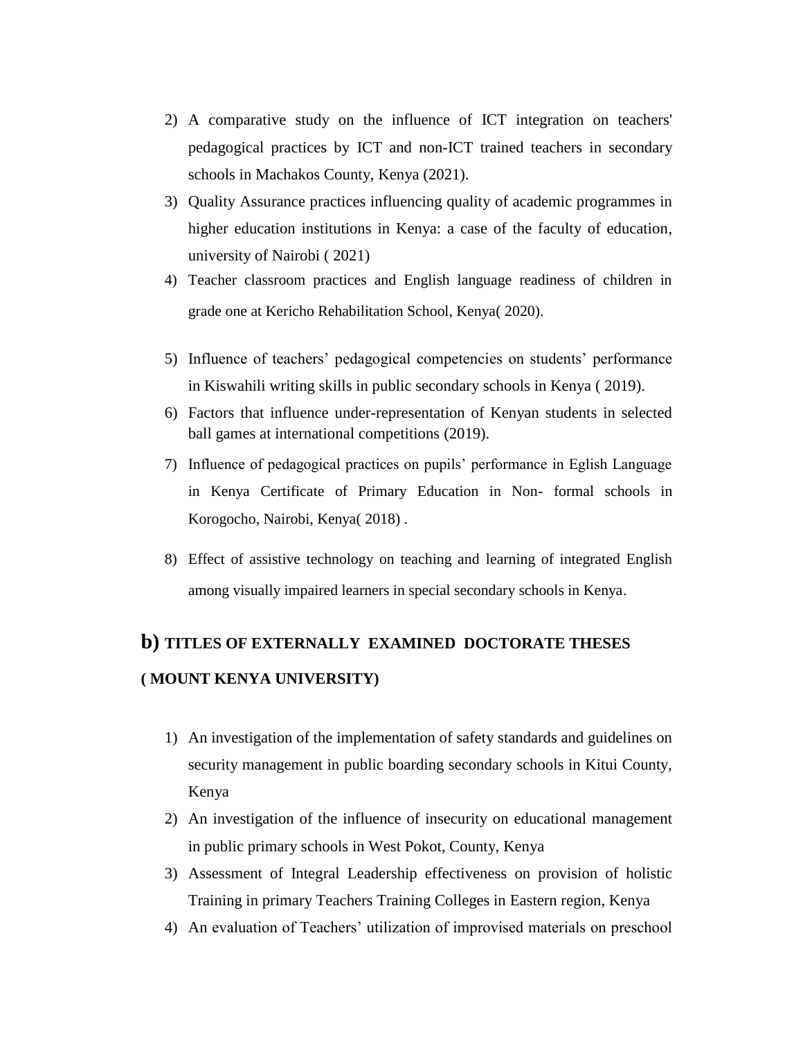- 2) A comparative study on the influence of ICT integration on teachers' pedagogical practices by ICT and non-ICT trained teachers in secondary schools in Machakos County, Kenya (2021).
- 3) Quality Assurance practices influencing quality of academic programmes in higher education institutions in Kenya: a case of the faculty of education, university of Nairobi ( 2021)
- 4) Teacher classroom practices and English language readiness of children in grade one at Kericho Rehabilitation School, Kenya( 2020).
- 5) Influence of teachers" pedagogical competencies on students" performance in Kiswahili writing skills in public secondary schools in Kenya ( 2019).
- 6) Factors that influence under-representation of Kenyan students in selected ball games at international competitions (2019).
- 7) Influence of pedagogical practices on pupils" performance in Eglish Language in Kenya Certificate of Primary Education in Non- formal schools in Korogocho, Nairobi, Kenya( 2018) .
- 8) Effect of assistive technology on teaching and learning of integrated English among visually impaired learners in special secondary schools in Kenya.

# **b) TITLES OF EXTERNALLY EXAMINED DOCTORATE THESES ( MOUNT KENYA UNIVERSITY)**

- 1) An investigation of the implementation of safety standards and guidelines on security management in public boarding secondary schools in Kitui County, Kenya
- 2) An investigation of the influence of insecurity on educational management in public primary schools in West Pokot, County, Kenya
- 3) Assessment of Integral Leadership effectiveness on provision of holistic Training in primary Teachers Training Colleges in Eastern region, Kenya
- 4) An evaluation of Teachers' utilization of improvised materials on preschool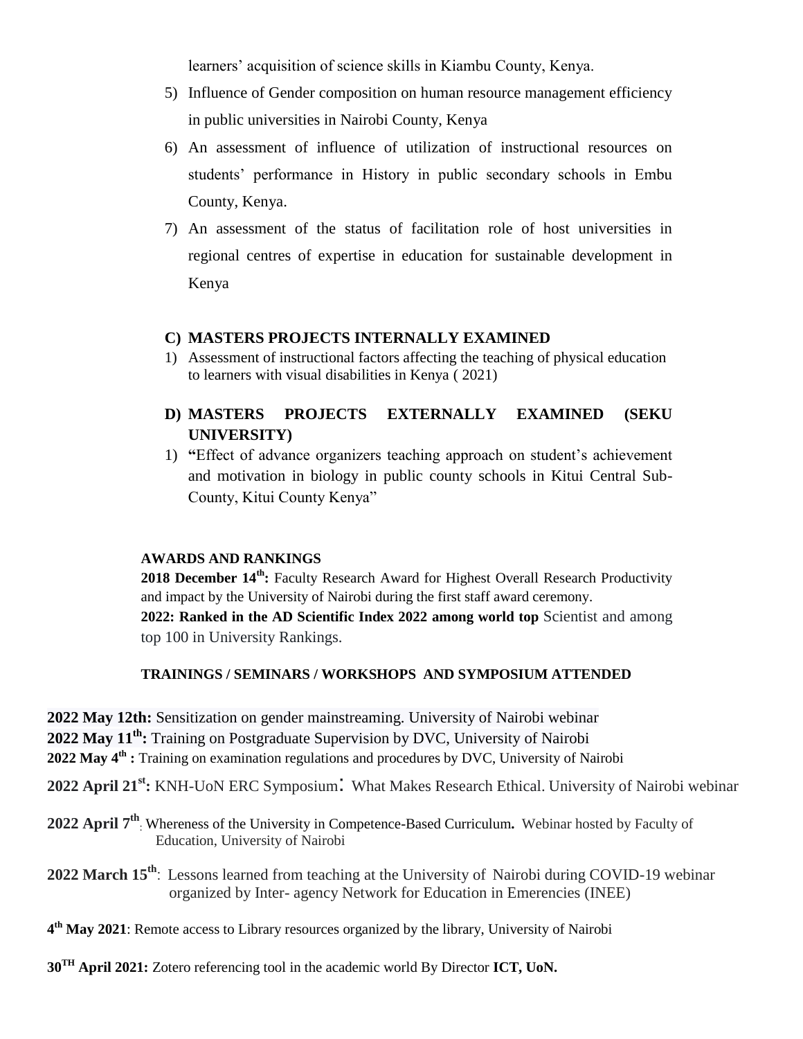learners' acquisition of science skills in Kiambu County, Kenya.

- 5) Influence of Gender composition on human resource management efficiency in public universities in Nairobi County, Kenya
- 6) An assessment of influence of utilization of instructional resources on students" performance in History in public secondary schools in Embu County, Kenya.
- 7) An assessment of the status of facilitation role of host universities in regional centres of expertise in education for sustainable development in Kenya

# **C) MASTERS PROJECTS INTERNALLY EXAMINED**

1) Assessment of instructional factors affecting the teaching of physical education to learners with visual disabilities in Kenya ( 2021)

# **D) MASTERS PROJECTS EXTERNALLY EXAMINED (SEKU UNIVERSITY)**

1) **"**Effect of advance organizers teaching approach on student"s achievement and motivation in biology in public county schools in Kitui Central Sub-County, Kitui County Kenya"

## **AWARDS AND RANKINGS**

**2018 December 14th:** Faculty Research Award for Highest Overall Research Productivity and impact by the University of Nairobi during the first staff award ceremony. **2022: Ranked in the AD Scientific Index 2022 among world top** Scientist and among top 100 in University Rankings.

# **TRAININGS / SEMINARS / WORKSHOPS AND SYMPOSIUM ATTENDED**

**2022 May 12th:** Sensitization on gender mainstreaming. University of Nairobi webinar

**2022 May 11th:** Training on Postgraduate Supervision by DVC, University of Nairobi

**2022 May 4th :** Training on examination regulations and procedures by DVC, University of Nairobi

**2022 April 21st:** KNH-UoN ERC Symposium: What Makes Research Ethical. University of Nairobi webinar

**2022 April 7th** : Whereness of the University in Competence-Based Curriculum**.** Webinar hosted by Faculty of Education, University of Nairobi

**2022 March 15th**: Lessons learned from teaching at the University of Nairobi during COVID-19 webinar organized by Inter- agency Network for Education in Emerencies (INEE)

**4 th May 2021**: Remote access to Library resources organized by the library, University of Nairobi

**30TH April 2021:** Zotero referencing tool in the academic world By Director **ICT, UoN.**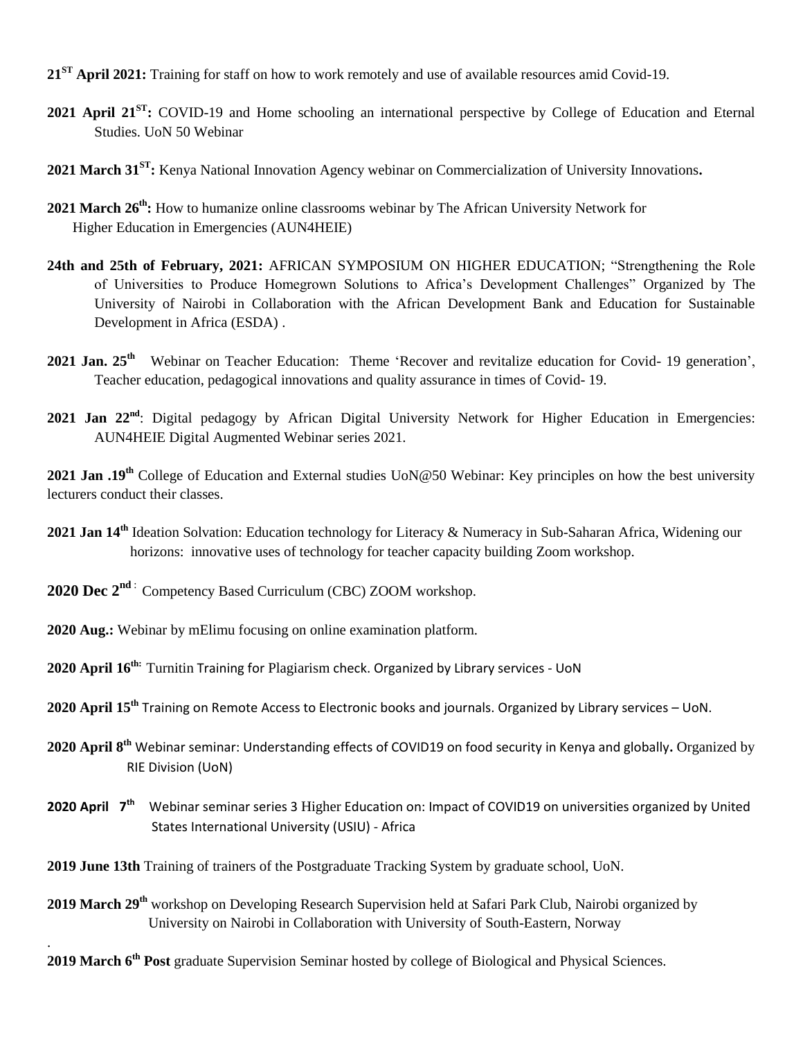- **21ST April 2021:** Training for staff on how to work remotely and use of available resources amid Covid-19.
- **2021 April 21ST:** COVID-19 and Home schooling an international perspective by College of Education and Eternal Studies. UoN 50 Webinar
- **2021 March 31ST:** Kenya National Innovation Agency webinar on Commercialization of University Innovations**.**
- **2021 March 26th:** How to humanize online classrooms webinar by The African University Network for Higher Education in Emergencies (AUN4HEIE)
- **24th and 25th of February, 2021:** AFRICAN SYMPOSIUM ON HIGHER EDUCATION; "Strengthening the Role of Universities to Produce Homegrown Solutions to Africa"s Development Challenges" Organized by The University of Nairobi in Collaboration with the African Development Bank and Education for Sustainable Development in Africa (ESDA) .
- 2021 Jan. 25<sup>th</sup> Webinar on Teacher Education: Theme 'Recover and revitalize education for Covid- 19 generation', Teacher education, pedagogical innovations and quality assurance in times of Covid- 19.
- **2021 Jan 22nd**: Digital pedagogy by African Digital University Network for Higher Education in Emergencies: AUN4HEIE Digital Augmented Webinar series 2021.

**2021 Jan .19th** College of Education and External studies UoN@50 Webinar: Key principles on how the best university lecturers conduct their classes.

- **2021 Jan 14th** Ideation Solvation: Education technology for Literacy & Numeracy in Sub-Saharan Africa, Widening our horizons: innovative uses of technology for teacher capacity building Zoom workshop.
- **2020 Dec 2nd** : Competency Based Curriculum (CBC) ZOOM workshop.
- **2020 Aug.:** Webinar by mElimu focusing on online examination platform.

.

- **2020 April 16th:** Turnitin Training for Plagiarism check. Organized by Library services UoN
- **2020 April 15th** Training on Remote Access to Electronic books and journals. Organized by Library services UoN.
- **2020 April 8th** Webinar seminar: Understanding effects of COVID19 on food security in Kenya and globally**.** Organized by RIE Division (UoN)
- 2020 April 7<sup>th</sup> Webinar seminar series 3 Higher Education on: Impact of COVID19 on universities organized by United States International University (USIU) - Africa
- **2019 June 13th** Training of trainers of the Postgraduate Tracking System by graduate school, UoN.
- **2019 March 29th** workshop on Developing Research Supervision held at Safari Park Club, Nairobi organized by University on Nairobi in Collaboration with University of South-Eastern, Norway

2019 March 6<sup>th</sup> Post graduate Supervision Seminar hosted by college of Biological and Physical Sciences.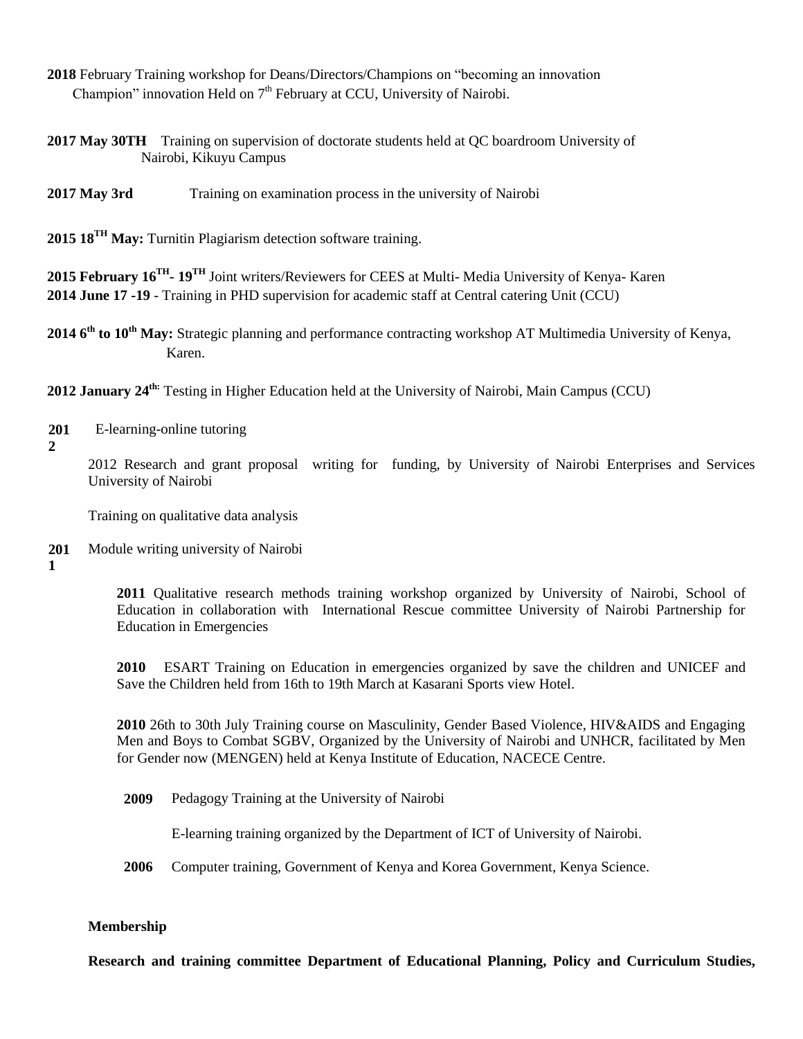- **2018** February Training workshop for Deans/Directors/Champions on "becoming an innovation Champion" innovation Held on  $7<sup>th</sup>$  February at CCU, University of Nairobi.
- **2017 May 30TH** Training on supervision of doctorate students held at QC boardroom University of Nairobi, Kikuyu Campus
- **2017 May 3rd** Training on examination process in the university of Nairobi
- **2015 18TH May:** Turnitin Plagiarism detection software training.

**2015 February 16TH - 19TH** Joint writers/Reviewers for CEES at Multi- Media University of Kenya- Karen **2014 June 17 -19** - Training in PHD supervision for academic staff at Central catering Unit (CCU)

**2014 6th to 10th May:** Strategic planning and performance contracting workshop AT Multimedia University of Kenya, Karen.

**2012 January 24th:** Testing in Higher Education held at the University of Nairobi, Main Campus (CCU)

- **201** E-learning-online tutoring
- **2**

2012 Research and grant proposal writing for funding, by University of Nairobi Enterprises and Services University of Nairobi

Training on qualitative data analysis

- **201** Module writing university of Nairobi
- **1**

**2011** Qualitative research methods training workshop organized by University of Nairobi, School of Education in collaboration with International Rescue committee University of Nairobi Partnership for Education in Emergencies

**2010** ESART Training on Education in emergencies organized by save the children and UNICEF and Save the Children held from 16th to 19th March at Kasarani Sports view Hotel.

**2010** 26th to 30th July Training course on Masculinity, Gender Based Violence, HIV&AIDS and Engaging Men and Boys to Combat SGBV, Organized by the University of Nairobi and UNHCR, facilitated by Men for Gender now (MENGEN) held at Kenya Institute of Education, NACECE Centre.

**2009** Pedagogy Training at the University of Nairobi

E-learning training organized by the Department of ICT of University of Nairobi.

**2006** Computer training, Government of Kenya and Korea Government, Kenya Science.

#### **Membership**

**Research and training committee Department of Educational Planning, Policy and Curriculum Studies,**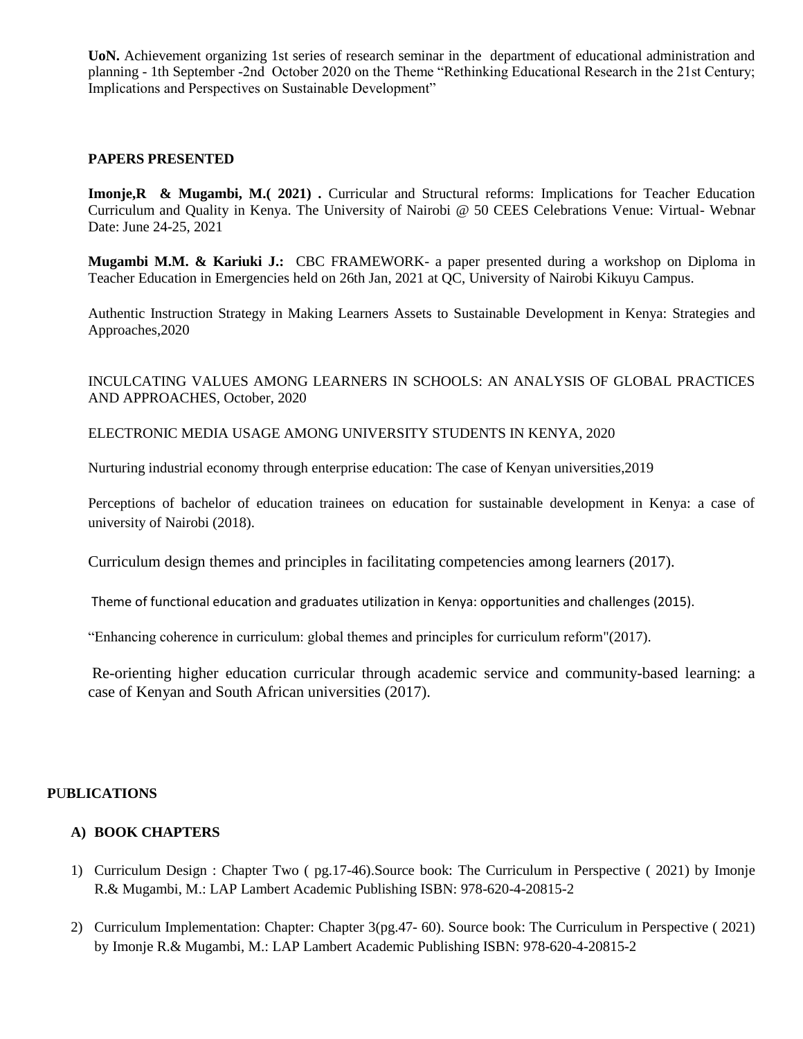**UoN.** Achievement organizing 1st series of research seminar in the department of educational administration and planning - 1th September -2nd October 2020 on the Theme "Rethinking Educational Research in the 21st Century; Implications and Perspectives on Sustainable Development"

## **PAPERS PRESENTED**

**Imonje,R & Mugambi, M.( 2021) .** Curricular and Structural reforms: Implications for Teacher Education Curriculum and Quality in Kenya. The University of Nairobi @ 50 CEES Celebrations Venue: Virtual- Webnar Date: June 24-25, 2021

**Mugambi M.M. & Kariuki J.:** CBC FRAMEWORK- a paper presented during a workshop on Diploma in Teacher Education in Emergencies held on 26th Jan, 2021 at QC, University of Nairobi Kikuyu Campus.

Authentic Instruction Strategy in Making Learners Assets to Sustainable Development in Kenya: Strategies and Approaches,2020

## INCULCATING VALUES AMONG LEARNERS IN SCHOOLS: AN ANALYSIS OF GLOBAL PRACTICES AND APPROACHES, October, 2020

ELECTRONIC MEDIA USAGE AMONG UNIVERSITY STUDENTS IN KENYA, 2020

Nurturing industrial economy through enterprise education: The case of Kenyan universities,2019

Perceptions of bachelor of education trainees on education for sustainable development in Kenya: a case of university of Nairobi (2018).

Curriculum design themes and principles in facilitating competencies among learners (2017).

Theme of functional education and graduates utilization in Kenya: opportunities and challenges (2015).

"Enhancing coherence in curriculum: global themes and principles for curriculum reform"(2017).

Re-orienting higher education curricular through academic service and community-based learning: a case of Kenyan and South African universities (2017).

## **P**U**BLICATIONS**

## **A) BOOK CHAPTERS**

- 1) Curriculum Design : Chapter Two ( pg.17-46).Source book: The Curriculum in Perspective ( 2021) by Imonje R.& Mugambi, M.: LAP Lambert Academic Publishing ISBN: 978-620-4-20815-2
- 2) Curriculum Implementation: Chapter: Chapter 3(pg.47- 60). Source book: The Curriculum in Perspective ( 2021) by Imonje R.& Mugambi, M.: LAP Lambert Academic Publishing ISBN: 978-620-4-20815-2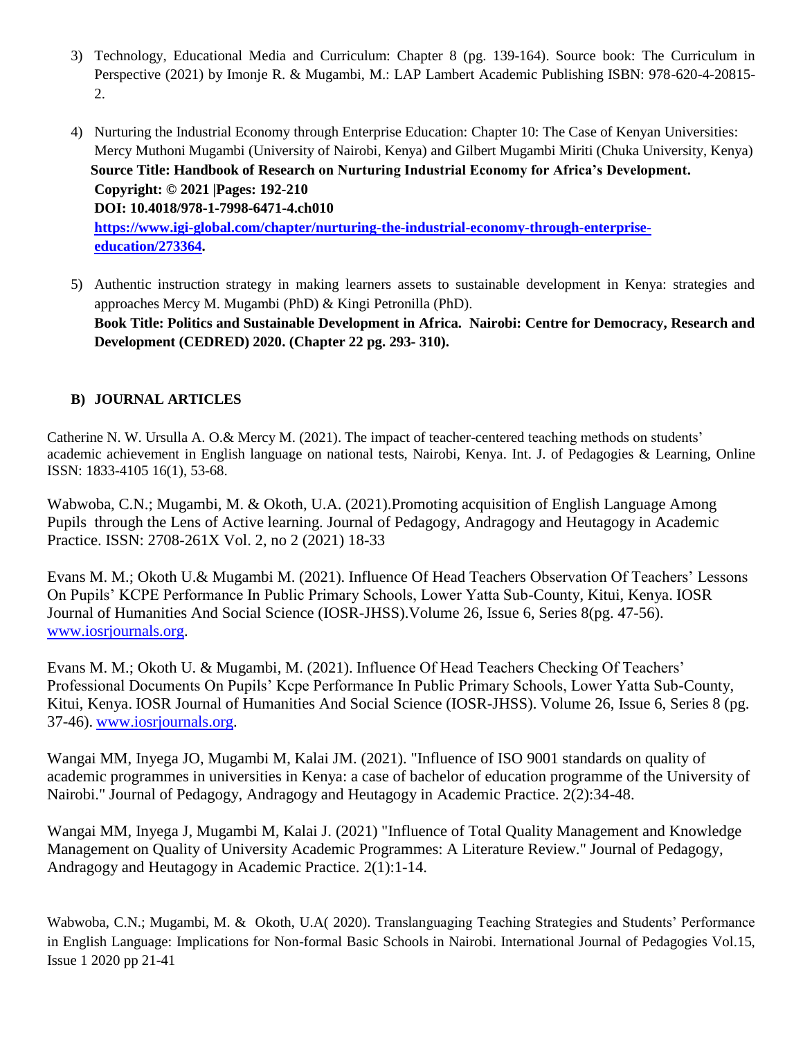- 3) Technology, Educational Media and Curriculum: Chapter 8 (pg. 139-164). Source book: The Curriculum in Perspective (2021) by Imonje R. & Mugambi, M.: LAP Lambert Academic Publishing ISBN: 978-620-4-20815- 2.
- 4) Nurturing the Industrial Economy through Enterprise Education: Chapter 10: The Case of Kenyan Universities: Mercy Muthoni Mugambi (University of Nairobi, Kenya) and Gilbert Mugambi Miriti (Chuka University, Kenya)  **Source Title: Handbook of Research on Nurturing Industrial Economy for Africa's Development. Copyright: © 2021 |Pages: 192-210 DOI: 10.4018/978-1-7998-6471-4.ch010 [https://www.igi-global.com/chapter/nurturing-the-industrial-economy-through-enterprise](https://www.igi-global.com/chapter/nurturing-the-industrial-economy-through-enterprise-education/273364)[education/273364.](https://www.igi-global.com/chapter/nurturing-the-industrial-economy-through-enterprise-education/273364)**
- 5) Authentic instruction strategy in making learners assets to sustainable development in Kenya: strategies and approaches Mercy M. Mugambi (PhD) & Kingi Petronilla (PhD). **Book Title: Politics and Sustainable Development in Africa. Nairobi: Centre for Democracy, Research and Development (CEDRED) 2020. (Chapter 22 pg. 293- 310).**

## **B) JOURNAL ARTICLES**

Catherine N. W. Ursulla A. O.& Mercy M. (2021). The impact of teacher-centered teaching methods on students" academic achievement in English language on national tests, Nairobi, Kenya. Int. J. of Pedagogies & Learning, Online ISSN: 1833-4105 16(1), 53-68.

Wabwoba, C.N.; Mugambi, M. & Okoth, U.A. (2021).Promoting acquisition of English Language Among Pupils through the Lens of Active learning. Journal of Pedagogy, Andragogy and Heutagogy in Academic Practice. ISSN: 2708-261X Vol. 2, no 2 (2021) 18-33

Evans M. M.; Okoth U.& Mugambi M. (2021). Influence Of Head Teachers Observation Of Teachers' Lessons On Pupils" KCPE Performance In Public Primary Schools, Lower Yatta Sub-County, Kitui, Kenya. IOSR Journal of Humanities And Social Science (IOSR-JHSS).Volume 26, Issue 6, Series 8(pg. 47-56). [www.iosrjournals.org.](http://www.iosrjournals.org/)

Evans M. M.; Okoth U. & Mugambi, M. (2021). Influence Of Head Teachers Checking Of Teachers" Professional Documents On Pupils" Kcpe Performance In Public Primary Schools, Lower Yatta Sub-County, Kitui, Kenya. IOSR Journal of Humanities And Social Science (IOSR-JHSS). Volume 26, Issue 6, Series 8 (pg. 37-46). [www.iosrjournals.org.](http://www.iosrjournals.org/)

Wangai MM, Inyega JO, Mugambi M, Kalai JM. (2021). "Influence of ISO 9001 standards on quality of academic programmes in universities in Kenya: a case of bachelor of education programme of the University of Nairobi." Journal of Pedagogy, Andragogy and Heutagogy in Academic Practice. 2(2):34-48.

Wangai MM, Inyega J, Mugambi M, Kalai J. (2021) "Influence of Total Quality Management and Knowledge Management on Quality of University Academic Programmes: A Literature Review." Journal of Pedagogy, Andragogy and Heutagogy in Academic Practice. 2(1):1-14.

Wabwoba, C.N.; Mugambi, M. & Okoth, U.A( 2020). Translanguaging Teaching Strategies and Students" Performance in English Language: Implications for Non-formal Basic Schools in Nairobi. International Journal of Pedagogies Vol.15, Issue 1 2020 pp 21-41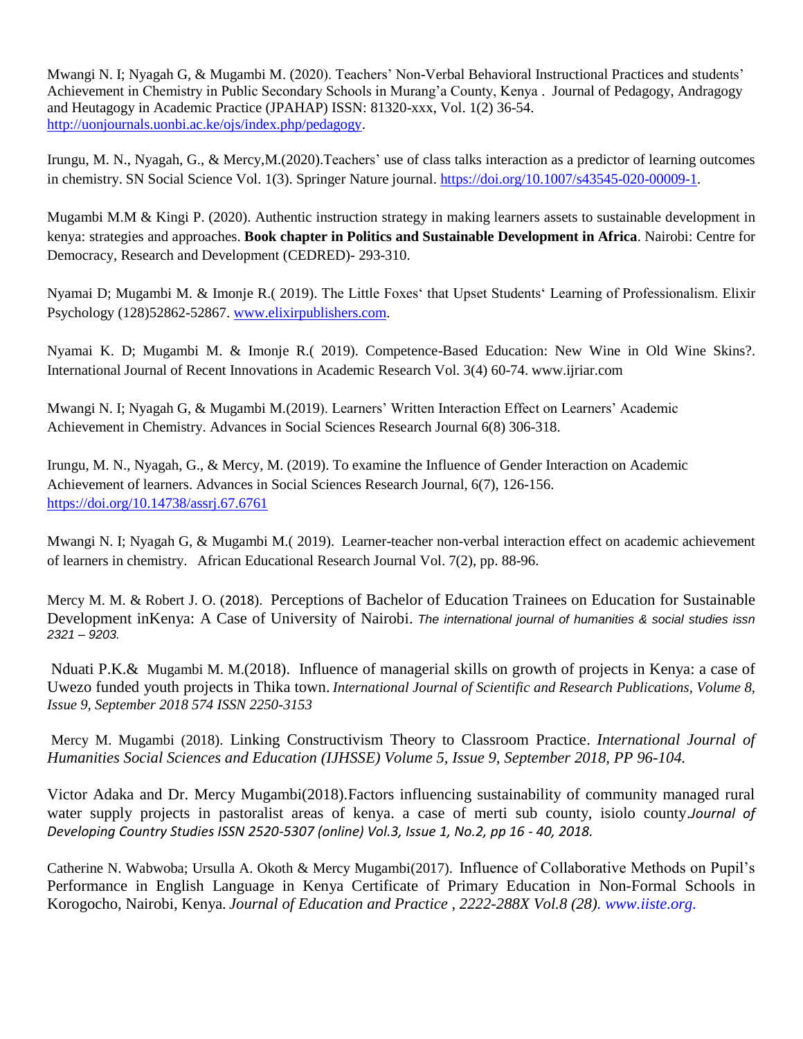Mwangi N. I; Nyagah G, & Mugambi M. (2020). Teachers' Non-Verbal Behavioral Instructional Practices and students' Achievement in Chemistry in Public Secondary Schools in Murang"a County, Kenya . Journal of Pedagogy, Andragogy and Heutagogy in Academic Practice (JPAHAP) ISSN: 81320-xxx, Vol. 1(2) 36-54. [http://uonjournals.uonbi.ac.ke/ojs/index.php/pedagogy.](http://uonjournals.uonbi.ac.ke/ojs/index.php/pedagogy)

Irungu, M. N., Nyagah, G., & Mercy, M. (2020). Teachers' use of class talks interaction as a predictor of learning outcomes in chemistry. SN Social Science Vol. 1(3). Springer Nature journal. [https://doi.org/10.1007/s43545-020-00009-1.](https://doi.org/10.1007/s43545-020-00009-1)

Mugambi M.M & Kingi P. (2020). Authentic instruction strategy in making learners assets to sustainable development in kenya: strategies and approaches. **Book chapter in Politics and Sustainable Development in Africa**. Nairobi: Centre for Democracy, Research and Development (CEDRED)- 293-310.

Nyamai D; Mugambi M. & Imonje R.( 2019). The Little Foxes" that Upset Students" Learning of Professionalism. Elixir Psychology (128)52862-52867. [www.elixirpublishers.com.](http://www.elixirpublishers.com/)

Nyamai K. D; Mugambi M. & Imonje R.( 2019). Competence-Based Education: New Wine in Old Wine Skins?. International Journal of Recent Innovations in Academic Research Vol. 3(4) 60-74. www.ijriar.com

Mwangi N. I; Nyagah G, & Mugambi M.(2019). Learners" Written Interaction Effect on Learners" Academic Achievement in Chemistry. Advances in Social Sciences Research Journal 6(8) 306-318.

Irungu, M. N., Nyagah, G., & Mercy, M. (2019). To examine the Influence of Gender Interaction on Academic Achievement of learners. Advances in Social Sciences Research Journal, 6(7), 126-156. <https://doi.org/10.14738/assrj.67.6761>

Mwangi N. I; Nyagah G, & Mugambi M.( 2019). Learner-teacher non-verbal interaction effect on academic achievement of learners in chemistry. African Educational Research Journal Vol. 7(2), pp. 88-96.

Mercy M. M. & Robert J. O. (2018). Perceptions of Bachelor of Education Trainees on Education for Sustainable Development inKenya: A Case of University of Nairobi. *The international journal of humanities & social studies issn 2321 – 9203.*

Nduati P.K.& Mugambi M. M.(2018). Influence of managerial skills on growth of projects in Kenya: a case of Uwezo funded youth projects in Thika town. *International Journal of Scientific and Research Publications, Volume 8, Issue 9, September 2018 574 ISSN 2250-3153*

Mercy M. Mugambi (2018). Linking Constructivism Theory to Classroom Practice. *International Journal of Humanities Social Sciences and Education (IJHSSE) Volume 5, Issue 9, September 2018, PP 96-104.*

Victor Adaka and Dr. Mercy Mugambi(2018).Factors influencing sustainability of community managed rural water supply projects in pastoralist areas of kenya. a case of merti sub county, isiolo county.*Journal of Developing Country Studies ISSN 2520-5307 (online) Vol.3, Issue 1, No.2, pp 16 - 40, 2018.*

Catherine N. Wabwoba; Ursulla A. Okoth & Mercy Mugambi(2017). Influence of Collaborative Methods on Pupil"s Performance in English Language in Kenya Certificate of Primary Education in Non-Formal Schools in Korogocho, Nairobi, Kenya*. Journal of Education and Practice , 2222-288X Vol.8 (28). www.iiste.org.*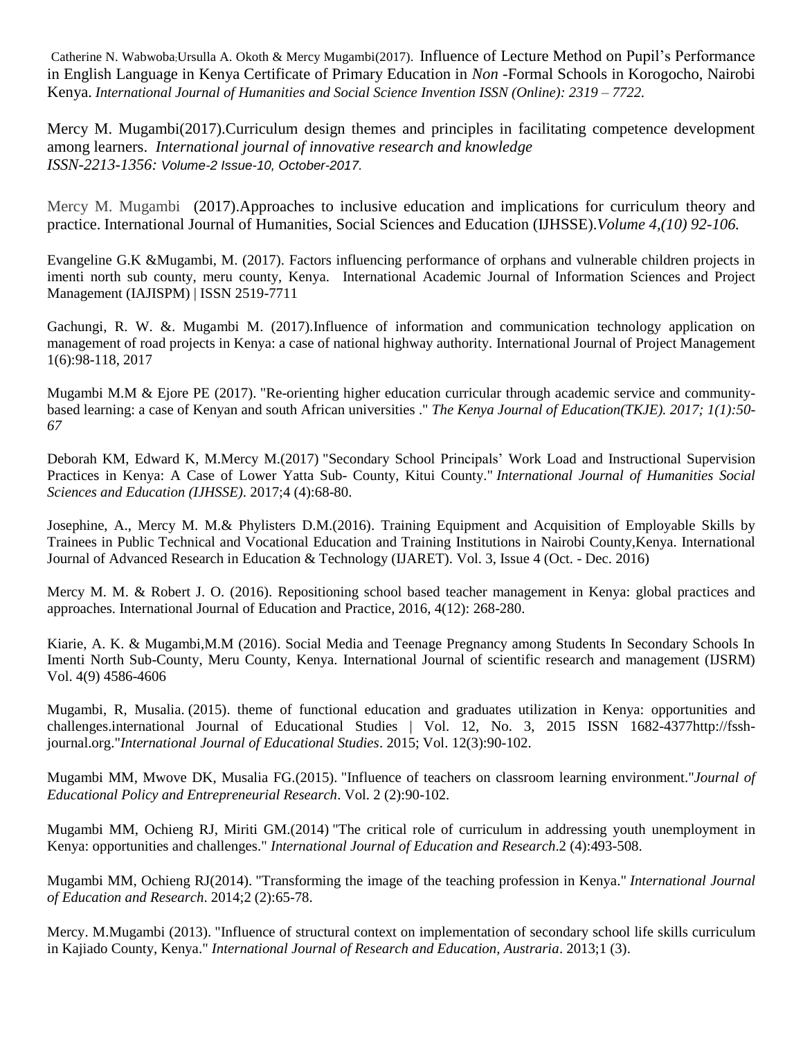Catherine N. Wabwoba;Ursulla A. Okoth & Mercy Mugambi(2017). Influence of Lecture Method on Pupil"s Performance in English Language in Kenya Certificate of Primary Education in *Non* -Formal Schools in Korogocho, Nairobi Kenya. *International Journal of Humanities and Social Science Invention ISSN (Online): 2319 – 7722.*

Mercy M. Mugambi(2017).Curriculum design themes and principles in facilitating competence development among learners. *International journal of innovative research and knowledge ISSN-2213-1356: Volume-2 Issue-10, October-2017.*

Mercy M. Mugambi (2017).Approaches to inclusive education and implications for curriculum theory and practice. International Journal of Humanities, Social Sciences and Education (IJHSSE).*Volume 4,(10) 92-106.*

Evangeline G.K &Mugambi, M. (2017). Factors influencing performance of orphans and vulnerable children projects in imenti north sub county, meru county, Kenya. International Academic Journal of Information Sciences and Project Management (IAJISPM) | ISSN 2519-7711

Gachungi, R. W. &. Mugambi M. (2017).Influence of information and communication technology application on management of road projects in Kenya: a case of national highway authority. International Journal of Project Management 1(6):98-118, 2017

Mugambi M.M & Ejore PE (2017). ["Re-orienting](https://profiles.uonbi.ac.ke/mercy_mugambi/publications/re-orienting-higher-education-curricular-through-academic-service-and-com) higher education curricular through academic service and communitybased learning: a case of Kenyan and south African [universities](https://profiles.uonbi.ac.ke/mercy_mugambi/publications/re-orienting-higher-education-curricular-through-academic-service-and-com) ." *The Kenya Journal of Education(TKJE). 2017; 1(1):50- 67*

Deborah KM, Edward K, M.Mercy M.(2017) "Secondary School Principals" Work Load and [Instructional](https://profiles.uonbi.ac.ke/mercy_mugambi/publications/secondary-school-principals%E2%80%99-work-load-and-instructional-supervision-prac) Supervision [Practices](https://profiles.uonbi.ac.ke/mercy_mugambi/publications/secondary-school-principals%E2%80%99-work-load-and-instructional-supervision-prac) in Kenya: A Case of Lower Yatta Sub- County, Kitui County." *International Journal of Humanities Social Sciences and Education (IJHSSE)*. 2017;4 (4):68-80.

Josephine, A., Mercy M. M.& Phylisters D.M.(2016). Training Equipment and Acquisition of Employable Skills by Trainees in Public Technical and Vocational Education and Training Institutions in Nairobi County,Kenya. International Journal of Advanced Research in Education & Technology (IJARET). Vol. 3, Issue 4 (Oct. - Dec. 2016)

Mercy M. M. & Robert J. O. (2016). Repositioning school based teacher management in Kenya: global practices and approaches. International Journal of Education and Practice, 2016, 4(12): 268-280.

Kiarie, A. K. & Mugambi,M.M (2016). Social Media and Teenage Pregnancy among Students In Secondary Schools In Imenti North Sub-County, Meru County, Kenya. International Journal of scientific research and management (IJSRM) Vol. 4(9) 4586-4606

Mugambi, R, Musalia. (2015). theme of functional education and graduates utilization in Kenya: [opportunities](https://profiles.uonbi.ac.ke/mercy_mugambi/node/75641) and [challenges.international](https://profiles.uonbi.ac.ke/mercy_mugambi/node/75641) Journal of Educational Studies | Vol. 12, No. 3, 2015 ISSN 1682-4377http://fssh[journal.org.](https://profiles.uonbi.ac.ke/mercy_mugambi/node/75641)"*International Journal of Educational Studies*. 2015; Vol. 12(3):90-102.

Mugambi MM, Mwove DK, Musalia FG.(2015). "Influence of teachers on classroom learning [environment.](https://profiles.uonbi.ac.ke/mercy_mugambi/publications/influence-teachers-classroom-learning-environment)"*Journal of Educational Policy and Entrepreneurial Research*. Vol. 2 (2):90-102.

Mugambi MM, Ochieng RJ, Miriti GM.(2014) "The critical role of curriculum in addressing youth [unemployment](https://profiles.uonbi.ac.ke/mercy_mugambi/publications/critical-role-curriculum-addressing-youth-unemployment-kenya-opportunitie) in Kenya: [opportunities](https://profiles.uonbi.ac.ke/mercy_mugambi/publications/critical-role-curriculum-addressing-youth-unemployment-kenya-opportunitie) and challenges." *International Journal of Education and Research*.2 (4):493-508.

Mugambi MM, Ochieng RJ(2014). ["Transforming](https://profiles.uonbi.ac.ke/mercy_mugambi/publications/transforming-image-teaching-profession-kenya) the image of the teaching profession in Kenya." *International Journal of Education and Research*. 2014;2 (2):65-78.

Mercy. M.Mugambi (2013). "Influence of structural context on [implementation](https://profiles.uonbi.ac.ke/mercy_mugambi/publications/influence-structural-context-implementation-secondary-school-life-skills-) of secondary school life skills curriculum in Kajiado [County,](https://profiles.uonbi.ac.ke/mercy_mugambi/publications/influence-structural-context-implementation-secondary-school-life-skills-) Kenya." *International Journal of Research and Education, Austraria*. 2013;1 (3).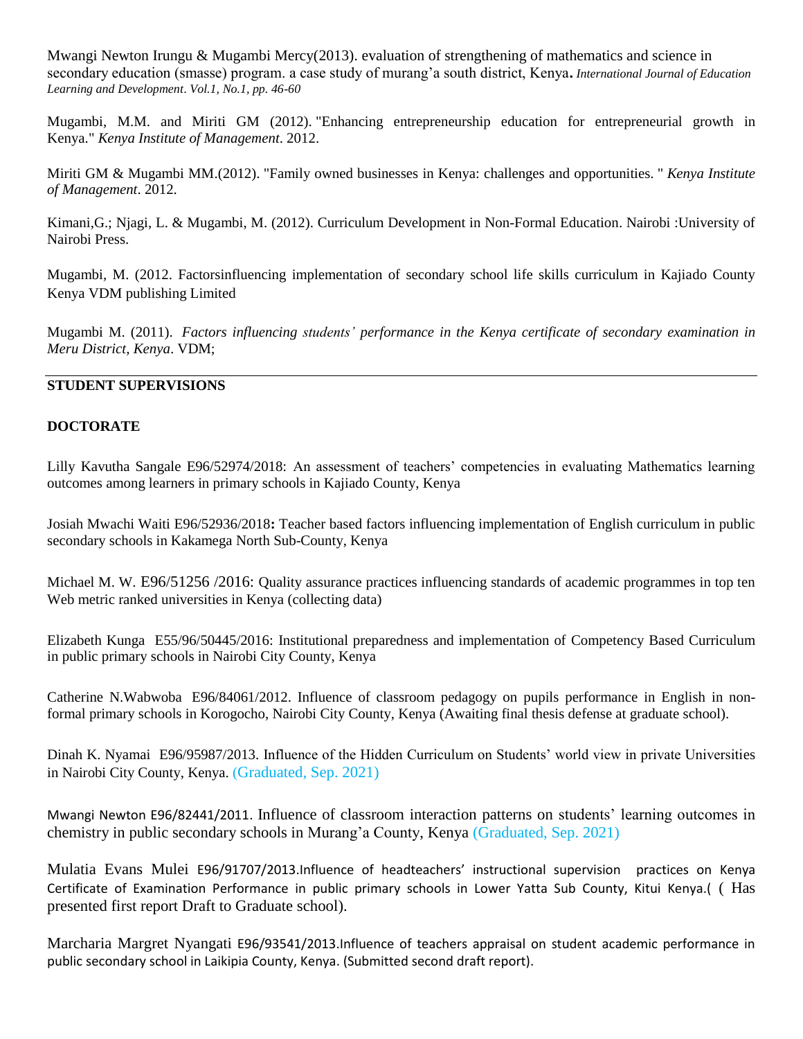Mwangi Newton Irungu & Mugambi Mercy(2013). evaluation of strengthening of mathematics and science in secondary education (smasse) program. a case study of murang"a south district, Kenya**.** *International Journal of Education Learning and Development*. *Vol.1, No.1, pp. 46-60*

Mugambi, M.M. and Miriti GM (2012). "Enhancing [entrepreneurship](https://profiles.uonbi.ac.ke/mercy_mugambi/publications/enhancing-entrepreneurship-education-entrepreneurial-growth-kenya) education for entrepreneurial growth in [Kenya."](https://profiles.uonbi.ac.ke/mercy_mugambi/publications/enhancing-entrepreneurship-education-entrepreneurial-growth-kenya) *Kenya Institute of Management*. 2012.

Miriti GM & Mugambi MM.(2012). "Family owned businesses in Kenya: challenges and [opportunities.](https://profiles.uonbi.ac.ke/mercy_mugambi/publications/family-owned-businesses-kenya-challenges-and-opportunities) " *Kenya Institute of Management*. 2012.

Kimani,G.; Njagi, L. & Mugambi, M. (2012). Curriculum Development in Non-Formal Education. Nairobi :University of Nairobi Press.

Mugambi, M. (2012. Factorsinfluencing implementation of secondary school life skills curriculum in Kajiado County Kenya VDM publishing Limited

Mugambi M. (2011). *Factors influencing students' [performance](https://profiles.uonbi.ac.ke/mercy_mugambi/publications/factors-influencing-students%E2%80%99-performance-kenya-certificate-secondary-exa) in the Kenya certificate of secondary examination in Meru [District,](https://profiles.uonbi.ac.ke/mercy_mugambi/publications/factors-influencing-students%E2%80%99-performance-kenya-certificate-secondary-exa) Kenya*. VDM;

## **STUDENT SUPERVISIONS**

## **DOCTORATE**

Lilly Kavutha Sangale E96/52974/2018: An assessment of teachers' competencies in evaluating Mathematics learning outcomes among learners in primary schools in Kajiado County, Kenya

Josiah Mwachi Waiti E96/52936/2018**:** Teacher based factors influencing implementation of English curriculum in public secondary schools in Kakamega North Sub-County, Kenya

Michael M. W. E96/51256 /2016: Quality assurance practices influencing standards of academic programmes in top ten Web metric ranked universities in Kenya (collecting data)

Elizabeth Kunga E55/96/50445/2016: Institutional preparedness and implementation of Competency Based Curriculum in public primary schools in Nairobi City County, Kenya

Catherine N.Wabwoba E96/84061/2012. Influence of classroom pedagogy on pupils performance in English in nonformal primary schools in Korogocho, Nairobi City County, Kenya (Awaiting final thesis defense at graduate school).

Dinah K. Nyamai E96/95987/2013. Influence of the Hidden Curriculum on Students" world view in private Universities in Nairobi City County, Kenya. (Graduated, Sep. 2021)

Mwangi Newton E96/82441/2011. Influence of classroom interaction patterns on students' learning outcomes in chemistry in public secondary schools in Murang"a County, Kenya (Graduated, Sep. 2021)

Mulatia Evans Mulei E96/91707/2013.Influence of headteachers' instructional supervision practices on Kenya Certificate of Examination Performance in public primary schools in Lower Yatta Sub County, Kitui Kenya.( ( Has presented first report Draft to Graduate school).

Marcharia Margret Nyangati E96/93541/2013.Influence of teachers appraisal on student academic performance in public secondary school in Laikipia County, Kenya. (Submitted second draft report).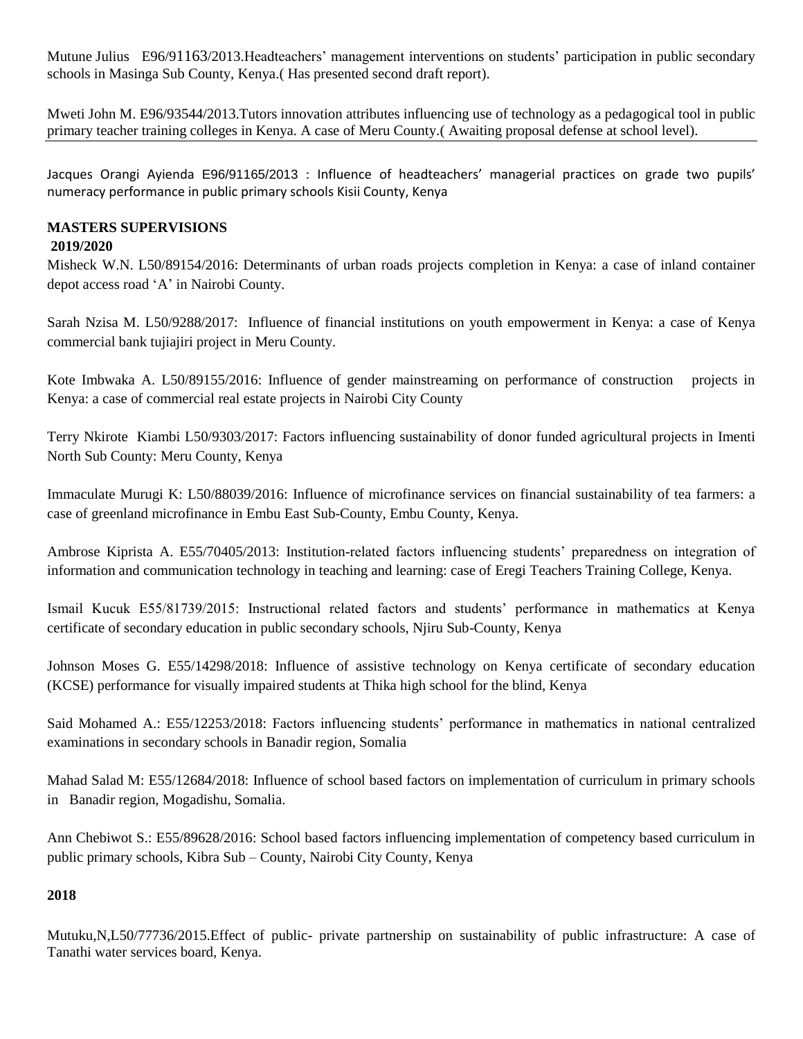Mutune Julius E96/91163/2013. Headteachers' management interventions on students' participation in public secondary schools in Masinga Sub County, Kenya.( Has presented second draft report).

Mweti John M. E96/93544/2013.Tutors innovation attributes influencing use of technology as a pedagogical tool in public primary teacher training colleges in Kenya. A case of Meru County.( Awaiting proposal defense at school level).

Jacques Orangi Ayienda E96/91165/2013 : Influence of headteachers' managerial practices on grade two pupils' numeracy performance in public primary schools Kisii County, Kenya

# **MASTERS SUPERVISIONS**

## **2019/2020**

Misheck W.N. L50/89154/2016: Determinants of urban roads projects completion in Kenya: a case of inland container depot access road "A" in Nairobi County.

Sarah Nzisa M. L50/9288/2017: Influence of financial institutions on youth empowerment in Kenya: a case of Kenya commercial bank tujiajiri project in Meru County.

Kote Imbwaka A. L50/89155/2016: Influence of gender mainstreaming on performance of construction projects in Kenya: a case of commercial real estate projects in Nairobi City County

Terry Nkirote Kiambi L50/9303/2017: Factors influencing sustainability of donor funded agricultural projects in Imenti North Sub County: Meru County, Kenya

Immaculate Murugi K: L50/88039/2016: Influence of microfinance services on financial sustainability of tea farmers: a case of greenland microfinance in Embu East Sub-County, Embu County, Kenya.

Ambrose Kiprista A. E55/70405/2013: Institution-related factors influencing students" preparedness on integration of information and communication technology in teaching and learning: case of Eregi Teachers Training College, Kenya.

Ismail Kucuk E55/81739/2015: Instructional related factors and students" performance in mathematics at Kenya certificate of secondary education in public secondary schools, Njiru Sub-County, Kenya

Johnson Moses G. E55/14298/2018: Influence of assistive technology on Kenya certificate of secondary education (KCSE) performance for visually impaired students at Thika high school for the blind, Kenya

Said Mohamed A.: E55/12253/2018: Factors influencing students" performance in mathematics in national centralized examinations in secondary schools in Banadir region, Somalia

Mahad Salad M: E55/12684/2018: Influence of school based factors on implementation of curriculum in primary schools in Banadir region, Mogadishu, Somalia.

Ann Chebiwot S.: E55/89628/2016: School based factors influencing implementation of competency based curriculum in public primary schools, Kibra Sub – County, Nairobi City County, Kenya

# **2018**

Mutuku,N,L50/77736/2015.Effect of public- private partnership on sustainability of public infrastructure: A case of Tanathi water services board, Kenya.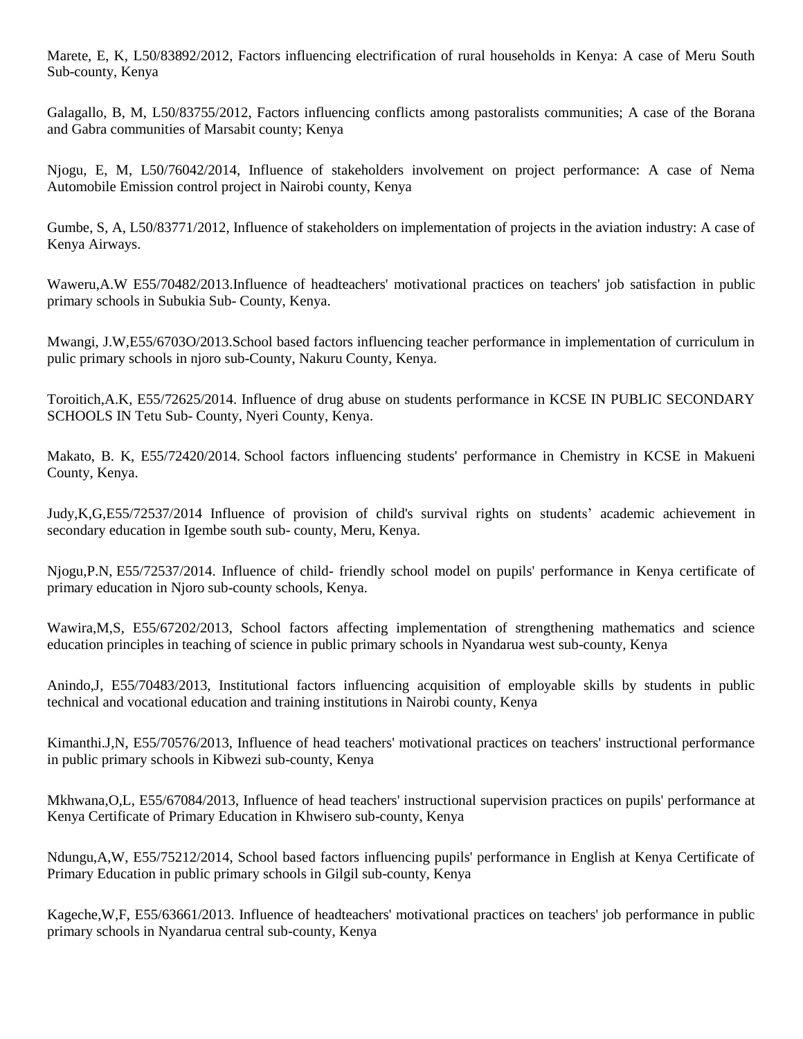Marete, E, K, L50/83892/2012, Factors influencing electrification of rural households in Kenya: A case of Meru South Sub-county, Kenya

Galagallo, B, M, L50/83755/2012, Factors influencing conflicts among pastoralists communities; A case of the Borana and Gabra communities of Marsabit county; Kenya

Njogu, E, M, L50/76042/2014, Influence of stakeholders involvement on project performance: A case of Nema Automobile Emission control project in Nairobi county, Kenya

Gumbe, S, A, L50/83771/2012, Influence of stakeholders on implementation of projects in the aviation industry: A case of Kenya Airways.

Waweru,A.W E55/70482/2013.Influence of headteachers' motivational practices on teachers' job satisfaction in public primary schools in Subukia Sub- County, Kenya.

Mwangi, J.W,E55/6703O/2013.School based factors influencing teacher performance in implementation of curriculum in pulic primary schools in njoro sub-County, Nakuru County, Kenya.

Toroitich,A.K, E55/72625/2014. Influence of drug abuse on students performance in KCSE IN PUBLIC SECONDARY SCHOOLS IN Tetu Sub- County, Nyeri County, Kenya.

Makato, B. K, E55/72420/2014. School factors influencing students' performance in Chemistry in KCSE in Makueni County, Kenya.

Judy,K,G,E55/72537/2014 Influence of provision of child's survival rights on students" academic achievement in secondary education in Igembe south sub- county, Meru, Kenya.

Njogu,P.N, E55/72537/2014. Influence of child- friendly school model on pupils' performance in Kenya certificate of primary education in Njoro sub-county schools, Kenya.

Wawira,M,S, E55/67202/2013, School factors affecting implementation of strengthening mathematics and science education principles in teaching of science in public primary schools in Nyandarua west sub-county, Kenya

Anindo,J, E55/70483/2013, Institutional factors influencing acquisition of employable skills by students in public technical and vocational education and training institutions in Nairobi county, Kenya

Kimanthi.J,N, E55/70576/2013, Influence of head teachers' motivational practices on teachers' instructional performance in public primary schools in Kibwezi sub-county, Kenya

Mkhwana,O,L, E55/67084/2013, Influence of head teachers' instructional supervision practices on pupils' performance at Kenya Certificate of Primary Education in Khwisero sub-county, Kenya

Ndungu,A,W, E55/75212/2014, School based factors influencing pupils' performance in English at Kenya Certificate of Primary Education in public primary schools in Gilgil sub-county, Kenya

Kageche,W,F, E55/63661/2013. Influence of headteachers' motivational practices on teachers' job performance in public primary schools in Nyandarua central sub-county, Kenya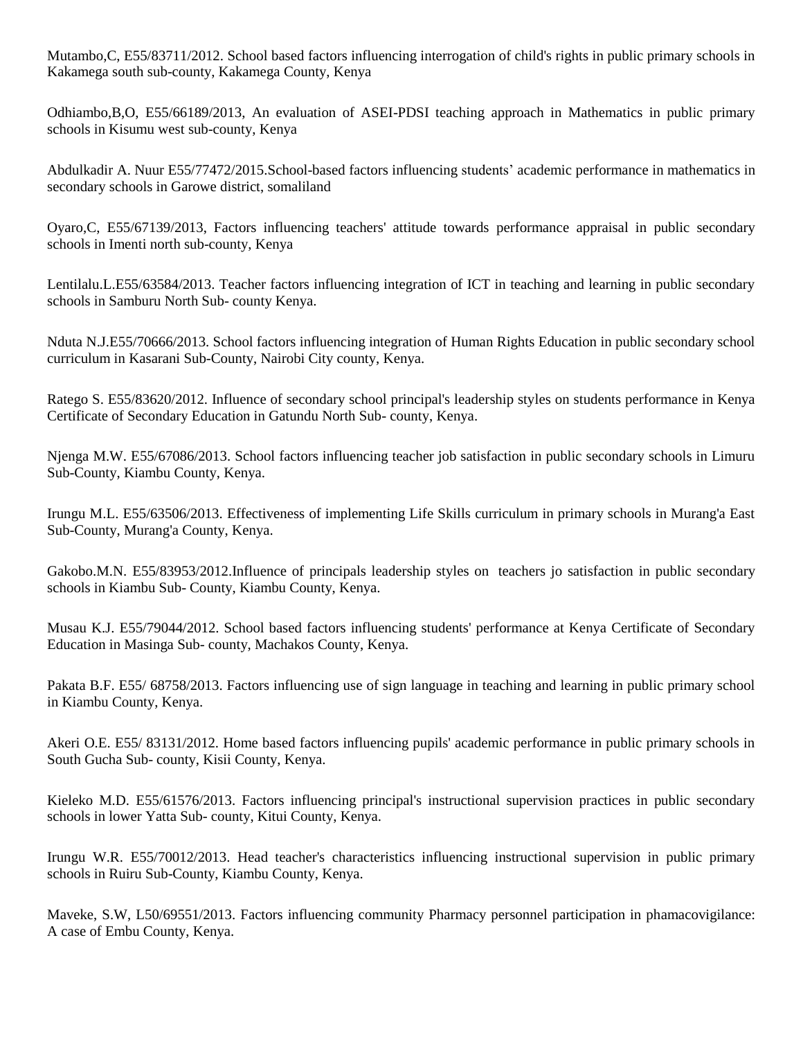Mutambo,C, E55/83711/2012. School based factors influencing interrogation of child's rights in public primary schools in Kakamega south sub-county, Kakamega County, Kenya

Odhiambo,B,O, E55/66189/2013, An evaluation of ASEI-PDSI teaching approach in Mathematics in public primary schools in Kisumu west sub-county, Kenya

Abdulkadir A. Nuur E55/77472/2015.School-based factors influencing students" academic performance in mathematics in secondary schools in Garowe district, somaliland

Oyaro,C, E55/67139/2013, Factors influencing teachers' attitude towards performance appraisal in public secondary schools in Imenti north sub-county, Kenya

Lentilalu.L.E55/63584/2013. Teacher factors influencing integration of ICT in teaching and learning in public secondary schools in Samburu North Sub- county Kenya.

Nduta N.J.E55/70666/2013. School factors influencing integration of Human Rights Education in public secondary school curriculum in Kasarani Sub-County, Nairobi City county, Kenya.

Ratego S. E55/83620/2012. Influence of secondary school principal's leadership styles on students performance in Kenya Certificate of Secondary Education in Gatundu North Sub- county, Kenya.

Njenga M.W. E55/67086/2013. School factors influencing teacher job satisfaction in public secondary schools in Limuru Sub-County, Kiambu County, Kenya.

Irungu M.L. E55/63506/2013. Effectiveness of implementing Life Skills curriculum in primary schools in Murang'a East Sub-County, Murang'a County, Kenya.

Gakobo.M.N. E55/83953/2012.Influence of principals leadership styles on teachers jo satisfaction in public secondary schools in Kiambu Sub- County, Kiambu County, Kenya.

Musau K.J. E55/79044/2012. School based factors influencing students' performance at Kenya Certificate of Secondary Education in Masinga Sub- county, Machakos County, Kenya.

Pakata B.F. E55/ 68758/2013. Factors influencing use of sign language in teaching and learning in public primary school in Kiambu County, Kenya.

Akeri O.E. E55/ 83131/2012. Home based factors influencing pupils' academic performance in public primary schools in South Gucha Sub- county, Kisii County, Kenya.

Kieleko M.D. E55/61576/2013. Factors influencing principal's instructional supervision practices in public secondary schools in lower Yatta Sub- county, Kitui County, Kenya.

Irungu W.R. E55/70012/2013. Head teacher's characteristics influencing instructional supervision in public primary schools in Ruiru Sub-County, Kiambu County, Kenya.

Maveke, S.W, L50/69551/2013. Factors influencing community Pharmacy personnel participation in phamacovigilance: A case of Embu County, Kenya.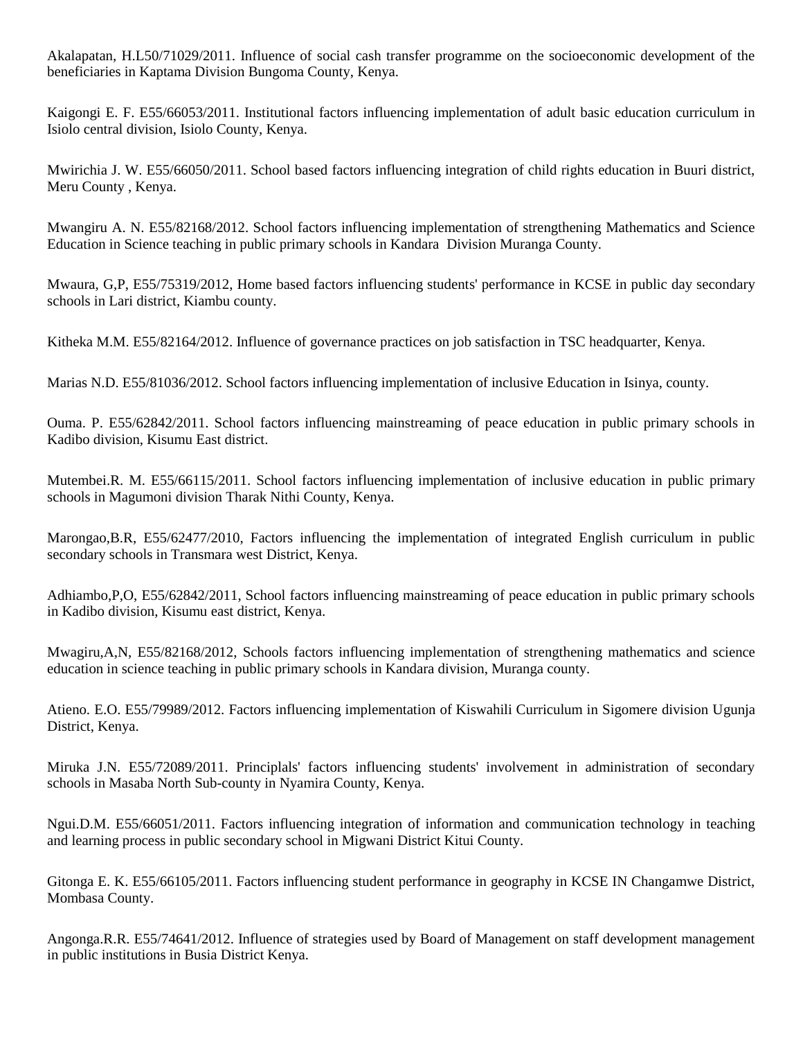Akalapatan, H.L50/71029/2011. Influence of social cash transfer programme on the socioeconomic development of the beneficiaries in Kaptama Division Bungoma County, Kenya.

Kaigongi E. F. E55/66053/2011. Institutional factors influencing implementation of adult basic education curriculum in Isiolo central division, Isiolo County, Kenya.

Mwirichia J. W. E55/66050/2011. School based factors influencing integration of child rights education in Buuri district, Meru County , Kenya.

Mwangiru A. N. E55/82168/2012. School factors influencing implementation of strengthening Mathematics and Science Education in Science teaching in public primary schools in Kandara Division Muranga County.

Mwaura, G,P, E55/75319/2012, Home based factors influencing students' performance in KCSE in public day secondary schools in Lari district, Kiambu county.

Kitheka M.M. E55/82164/2012. Influence of governance practices on job satisfaction in TSC headquarter, Kenya.

Marias N.D. E55/81036/2012. School factors influencing implementation of inclusive Education in Isinya, county.

Ouma. P. E55/62842/2011. School factors influencing mainstreaming of peace education in public primary schools in Kadibo division, Kisumu East district.

Mutembei.R. M. E55/66115/2011. School factors influencing implementation of inclusive education in public primary schools in Magumoni division Tharak Nithi County, Kenya.

Marongao,B.R, E55/62477/2010, Factors influencing the implementation of integrated English curriculum in public secondary schools in Transmara west District, Kenya.

Adhiambo,P,O, E55/62842/2011, School factors influencing mainstreaming of peace education in public primary schools in Kadibo division, Kisumu east district, Kenya.

Mwagiru,A,N, E55/82168/2012, Schools factors influencing implementation of strengthening mathematics and science education in science teaching in public primary schools in Kandara division, Muranga county.

Atieno. E.O. E55/79989/2012. Factors influencing implementation of Kiswahili Curriculum in Sigomere division Ugunja District, Kenya.

Miruka J.N. E55/72089/2011. Principlals' factors influencing students' involvement in administration of secondary schools in Masaba North Sub-county in Nyamira County, Kenya.

Ngui.D.M. E55/66051/2011. Factors influencing integration of information and communication technology in teaching and learning process in public secondary school in Migwani District Kitui County.

Gitonga E. K. E55/66105/2011. Factors influencing student performance in geography in KCSE IN Changamwe District, Mombasa County.

Angonga.R.R. E55/74641/2012. Influence of strategies used by Board of Management on staff development management in public institutions in Busia District Kenya.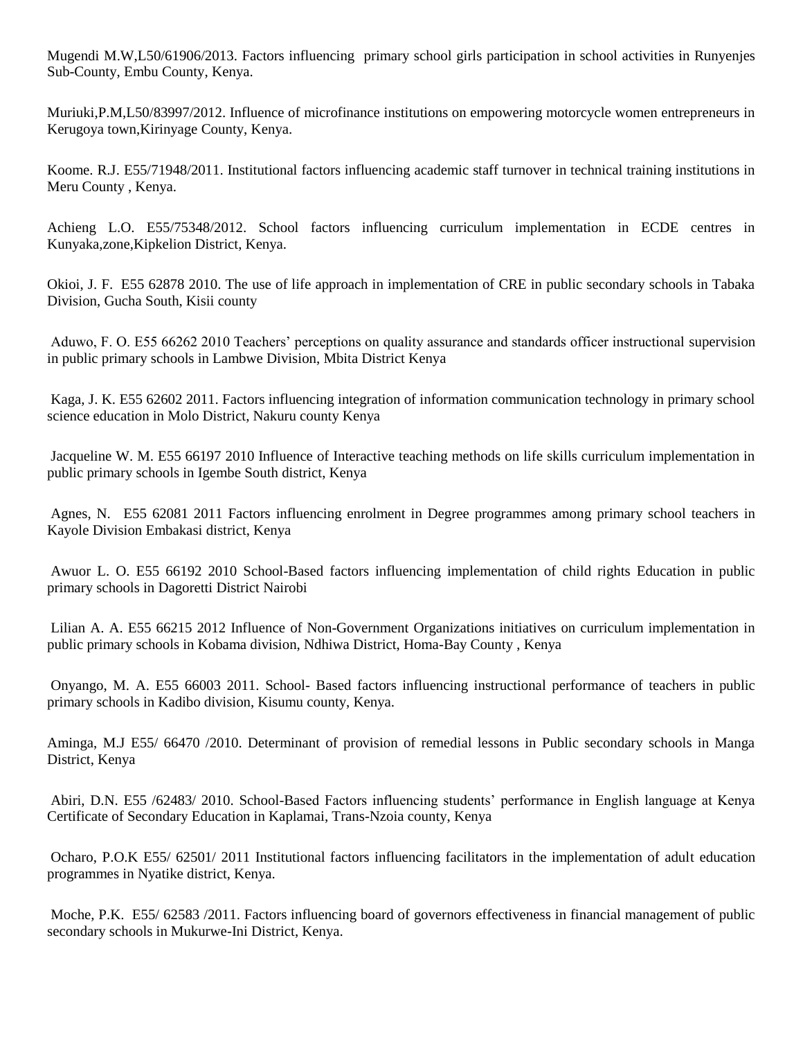Mugendi M.W,L50/61906/2013. Factors influencing primary school girls participation in school activities in Runyenjes Sub-County, Embu County, Kenya.

Muriuki,P.M,L50/83997/2012. Influence of microfinance institutions on empowering motorcycle women entrepreneurs in Kerugoya town,Kirinyage County, Kenya.

Koome. R.J. E55/71948/2011. Institutional factors influencing academic staff turnover in technical training institutions in Meru County , Kenya.

Achieng L.O. E55/75348/2012. School factors influencing curriculum implementation in ECDE centres in Kunyaka,zone,Kipkelion District, Kenya.

Okioi, J. F. E55 62878 2010. The use of life approach in implementation of CRE in public secondary schools in Tabaka Division, Gucha South, Kisii county

Aduwo, F. O. E55 66262 2010 Teachers" perceptions on quality assurance and standards officer instructional supervision in public primary schools in Lambwe Division, Mbita District Kenya

Kaga, J. K. E55 62602 2011. Factors influencing integration of information communication technology in primary school science education in Molo District, Nakuru county Kenya

Jacqueline W. M. E55 66197 2010 Influence of Interactive teaching methods on life skills curriculum implementation in public primary schools in Igembe South district, Kenya

Agnes, N. E55 62081 2011 Factors influencing enrolment in Degree programmes among primary school teachers in Kayole Division Embakasi district, Kenya

Awuor L. O. E55 66192 2010 School-Based factors influencing implementation of child rights Education in public primary schools in Dagoretti District Nairobi

Lilian A. A. E55 66215 2012 Influence of Non-Government Organizations initiatives on curriculum implementation in public primary schools in Kobama division, Ndhiwa District, Homa-Bay County , Kenya

Onyango, M. A. E55 66003 2011. School- Based factors influencing instructional performance of teachers in public primary schools in Kadibo division, Kisumu county, Kenya.

Aminga, M.J E55/ 66470 /2010. Determinant of provision of remedial lessons in Public secondary schools in Manga District, Kenya

Abiri, D.N. E55 /62483/ 2010. School-Based Factors influencing students" performance in English language at Kenya Certificate of Secondary Education in Kaplamai, Trans-Nzoia county, Kenya

Ocharo, P.O.K E55/ 62501/ 2011 Institutional factors influencing facilitators in the implementation of adult education programmes in Nyatike district, Kenya.

Moche, P.K. E55/ 62583 /2011. Factors influencing board of governors effectiveness in financial management of public secondary schools in Mukurwe-Ini District, Kenya.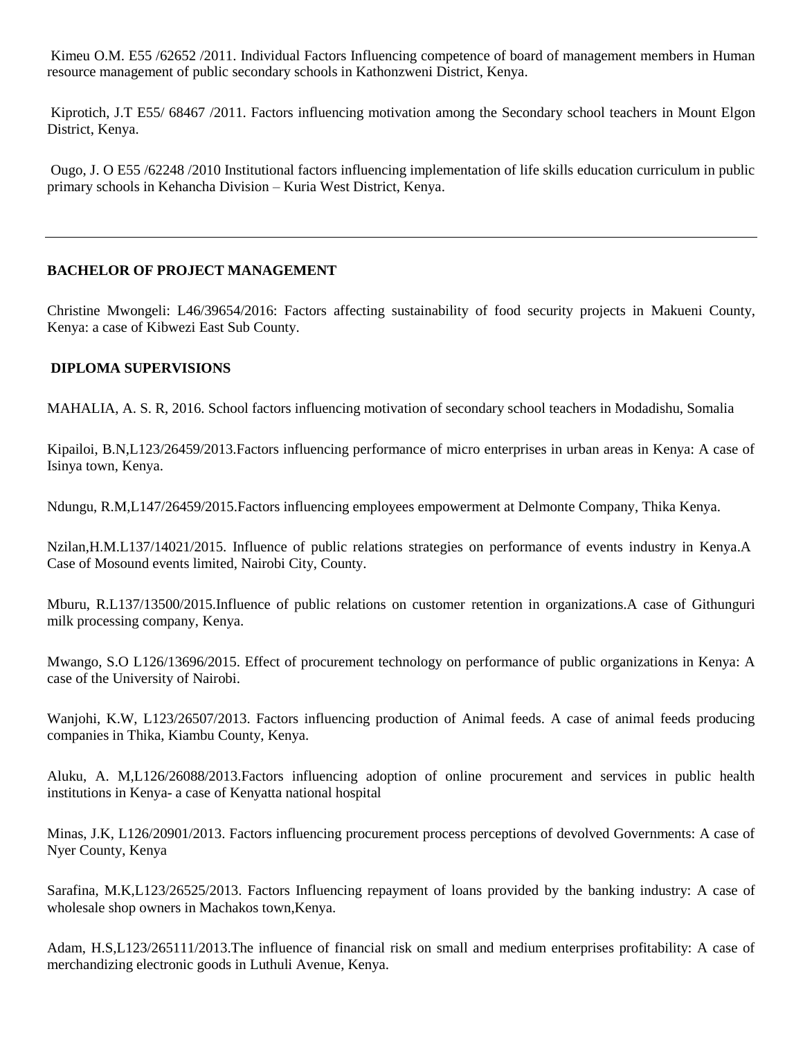Kimeu O.M. E55 /62652 /2011. Individual Factors Influencing competence of board of management members in Human resource management of public secondary schools in Kathonzweni District, Kenya.

Kiprotich, J.T E55/ 68467 /2011. Factors influencing motivation among the Secondary school teachers in Mount Elgon District, Kenya.

Ougo, J. O E55 /62248 /2010 Institutional factors influencing implementation of life skills education curriculum in public primary schools in Kehancha Division – Kuria West District, Kenya.

## **BACHELOR OF PROJECT MANAGEMENT**

Christine Mwongeli: L46/39654/2016: Factors affecting sustainability of food security projects in Makueni County, Kenya: a case of Kibwezi East Sub County.

## **DIPLOMA SUPERVISIONS**

MAHALIA, A. S. R, 2016. School factors influencing motivation of secondary school teachers in Modadishu, Somalia

Kipailoi, B.N,L123/26459/2013.Factors influencing performance of micro enterprises in urban areas in Kenya: A case of Isinya town, Kenya.

Ndungu, R.M,L147/26459/2015.Factors influencing employees empowerment at Delmonte Company, Thika Kenya.

Nzilan,H.M.L137/14021/2015. Influence of public relations strategies on performance of events industry in Kenya.A Case of Mosound events limited, Nairobi City, County.

Mburu, R.L137/13500/2015.Influence of public relations on customer retention in organizations.A case of Githunguri milk processing company, Kenya.

Mwango, S.O L126/13696/2015. Effect of procurement technology on performance of public organizations in Kenya: A case of the University of Nairobi.

Wanjohi, K.W, L123/26507/2013. Factors influencing production of Animal feeds. A case of animal feeds producing companies in Thika, Kiambu County, Kenya.

Aluku, A. M,L126/26088/2013.Factors influencing adoption of online procurement and services in public health institutions in Kenya- a case of Kenyatta national hospital

Minas, J.K, L126/20901/2013. Factors influencing procurement process perceptions of devolved Governments: A case of Nyer County, Kenya

Sarafina, M.K,L123/26525/2013. Factors Influencing repayment of loans provided by the banking industry: A case of wholesale shop owners in Machakos town,Kenya.

Adam, H.S,L123/265111/2013.The influence of financial risk on small and medium enterprises profitability: A case of merchandizing electronic goods in Luthuli Avenue, Kenya.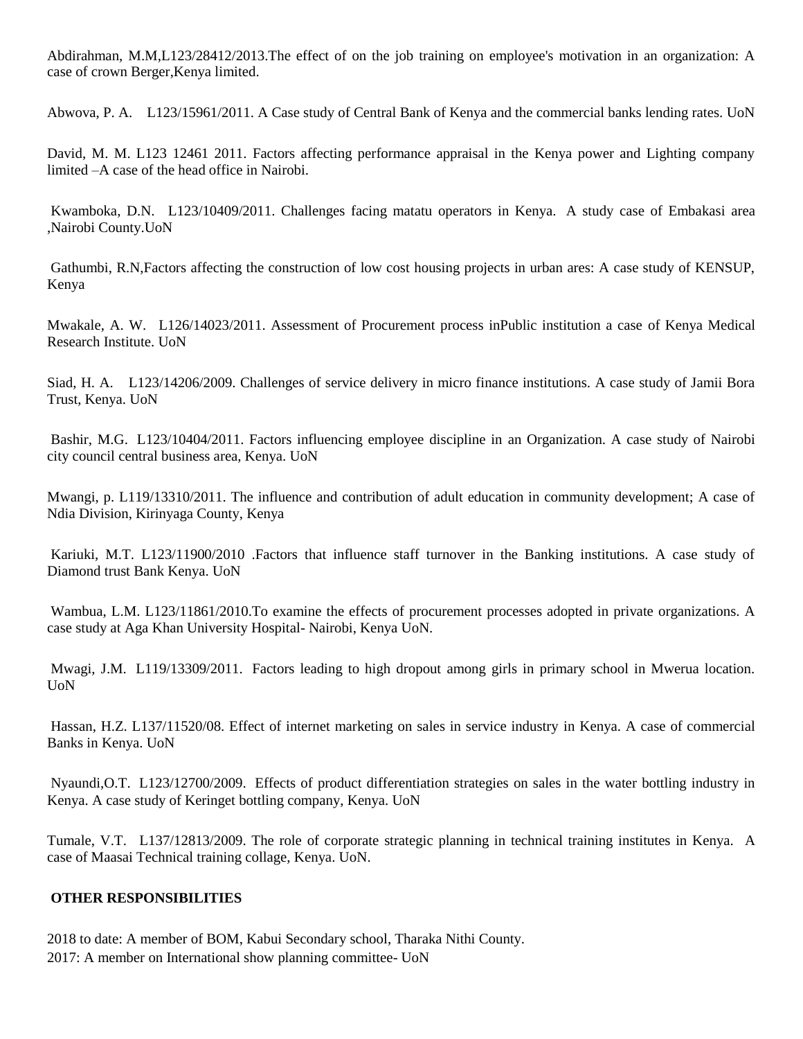Abdirahman, M.M,L123/28412/2013.The effect of on the job training on employee's motivation in an organization: A case of crown Berger,Kenya limited.

Abwova, P. A. L123/15961/2011. A Case study of Central Bank of Kenya and the commercial banks lending rates. UoN

David, M. M. L123 12461 2011. Factors affecting performance appraisal in the Kenya power and Lighting company limited –A case of the head office in Nairobi.

Kwamboka, D.N. L123/10409/2011. Challenges facing matatu operators in Kenya. A study case of Embakasi area ,Nairobi County.UoN

Gathumbi, R.N,Factors affecting the construction of low cost housing projects in urban ares: A case study of KENSUP, Kenya

Mwakale, A. W. L126/14023/2011. Assessment of Procurement process inPublic institution a case of Kenya Medical Research Institute. UoN

Siad, H. A. L123/14206/2009. Challenges of service delivery in micro finance institutions. A case study of Jamii Bora Trust, Kenya. UoN

Bashir, M.G. L123/10404/2011. Factors influencing employee discipline in an Organization. A case study of Nairobi city council central business area, Kenya. UoN

Mwangi, p. L119/13310/2011. The influence and contribution of adult education in community development; A case of Ndia Division, Kirinyaga County, Kenya

Kariuki, M.T. L123/11900/2010 .Factors that influence staff turnover in the Banking institutions. A case study of Diamond trust Bank Kenya. UoN

Wambua, L.M. L123/11861/2010.To examine the effects of procurement processes adopted in private organizations. A case study at Aga Khan University Hospital- Nairobi, Kenya UoN.

Mwagi, J.M. L119/13309/2011. Factors leading to high dropout among girls in primary school in Mwerua location. UoN

Hassan, H.Z. L137/11520/08. Effect of internet marketing on sales in service industry in Kenya. A case of commercial Banks in Kenya. UoN

Nyaundi,O.T. L123/12700/2009. Effects of product differentiation strategies on sales in the water bottling industry in Kenya. A case study of Keringet bottling company, Kenya. UoN

Tumale, V.T. L137/12813/2009. The role of corporate strategic planning in technical training institutes in Kenya. A case of Maasai Technical training collage, Kenya. UoN.

## **OTHER RESPONSIBILITIES**

2018 to date: A member of BOM, Kabui Secondary school, Tharaka Nithi County. 2017: A member on International show planning committee- UoN